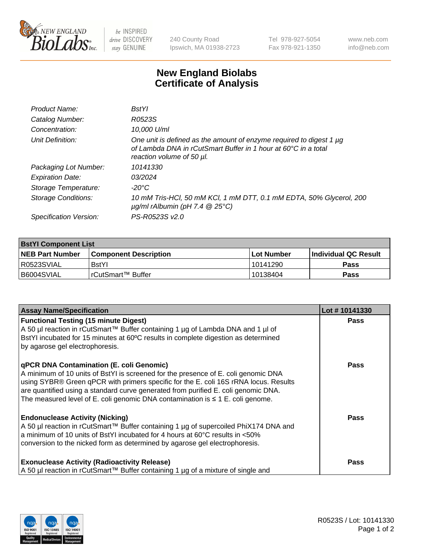

 $be$  INSPIRED drive DISCOVERY stay GENUINE

240 County Road Ipswich, MA 01938-2723 Tel 978-927-5054 Fax 978-921-1350 www.neb.com info@neb.com

## **New England Biolabs Certificate of Analysis**

| Product Name:              | <b>BstYl</b>                                                                                                                                                       |
|----------------------------|--------------------------------------------------------------------------------------------------------------------------------------------------------------------|
| Catalog Number:            | R0523S                                                                                                                                                             |
| Concentration:             | 10,000 U/ml                                                                                                                                                        |
| Unit Definition:           | One unit is defined as the amount of enzyme required to digest 1 µg<br>of Lambda DNA in rCutSmart Buffer in 1 hour at 60°C in a total<br>reaction volume of 50 µl. |
| Packaging Lot Number:      | 10141330                                                                                                                                                           |
| <b>Expiration Date:</b>    | 03/2024                                                                                                                                                            |
| Storage Temperature:       | -20°C                                                                                                                                                              |
| <b>Storage Conditions:</b> | 10 mM Tris-HCl, 50 mM KCl, 1 mM DTT, 0.1 mM EDTA, 50% Glycerol, 200<br>$\mu$ g/ml rAlbumin (pH 7.4 $\circledR$ 25°C)                                               |
| Specification Version:     | PS-R0523S v2.0                                                                                                                                                     |
|                            |                                                                                                                                                                    |

| <b>BstYl Component List</b> |                              |             |                             |  |
|-----------------------------|------------------------------|-------------|-----------------------------|--|
| <b>NEB Part Number</b>      | <b>Component Description</b> | ⊺Lot Number | <b>Individual QC Result</b> |  |
| R0523SVIAL                  | <b>BstYl</b>                 | 10141290    | Pass                        |  |
| B6004SVIAL                  | l rCutSmart™ Buffer_         | 10138404    | <b>Pass</b>                 |  |

| <b>Assay Name/Specification</b>                                                                                                                                                                                       | Lot #10141330 |
|-----------------------------------------------------------------------------------------------------------------------------------------------------------------------------------------------------------------------|---------------|
| <b>Functional Testing (15 minute Digest)</b><br>A 50 µl reaction in rCutSmart™ Buffer containing 1 µg of Lambda DNA and 1 µl of<br>BstYl incubated for 15 minutes at 60°C results in complete digestion as determined | <b>Pass</b>   |
| by agarose gel electrophoresis.                                                                                                                                                                                       |               |
| <b>qPCR DNA Contamination (E. coli Genomic)</b>                                                                                                                                                                       | <b>Pass</b>   |
| A minimum of 10 units of BstYI is screened for the presence of E. coli genomic DNA<br>using SYBR® Green qPCR with primers specific for the E. coli 16S rRNA locus. Results                                            |               |
| are quantified using a standard curve generated from purified E. coli genomic DNA.                                                                                                                                    |               |
| The measured level of E. coli genomic DNA contamination is $\leq 1$ E. coli genome.                                                                                                                                   |               |
| <b>Endonuclease Activity (Nicking)</b>                                                                                                                                                                                | <b>Pass</b>   |
| A 50 µl reaction in rCutSmart™ Buffer containing 1 µg of supercoiled PhiX174 DNA and                                                                                                                                  |               |
| a minimum of 10 units of BstYI incubated for 4 hours at 60°C results in <50%<br>conversion to the nicked form as determined by agarose gel electrophoresis.                                                           |               |
|                                                                                                                                                                                                                       |               |
| <b>Exonuclease Activity (Radioactivity Release)</b>                                                                                                                                                                   | <b>Pass</b>   |
| A 50 µl reaction in rCutSmart™ Buffer containing 1 µg of a mixture of single and                                                                                                                                      |               |